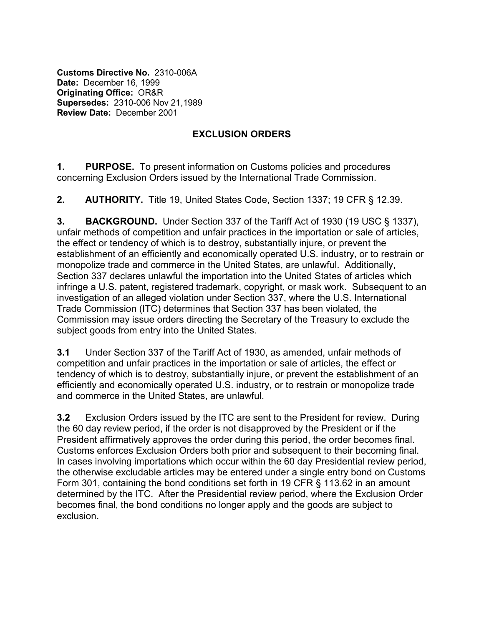**Customs Directive No.** 2310-006A **Date:** December 16, 1999 **Originating Office:** OR&R **Supersedes:** 2310-006 Nov 21,1989 **Review Date:** December 2001

## **EXCLUSION ORDERS**

**1. PURPOSE.** To present information on Customs policies and procedures concerning Exclusion Orders issued by the International Trade Commission.

**2. AUTHORITY.** Title 19, United States Code, Section 1337; 19 CFR § 12.39.

**3. BACKGROUND.** Under Section 337 of the Tariff Act of 1930 (19 USC § 1337), unfair methods of competition and unfair practices in the importation or sale of articles, the effect or tendency of which is to destroy, substantially injure, or prevent the establishment of an efficiently and economically operated U.S. industry, or to restrain or monopolize trade and commerce in the United States, are unlawful. Additionally, Section 337 declares unlawful the importation into the United States of articles which infringe a U.S. patent, registered trademark, copyright, or mask work. Subsequent to an investigation of an alleged violation under Section 337, where the U.S. International Trade Commission (ITC) determines that Section 337 has been violated, the Commission may issue orders directing the Secretary of the Treasury to exclude the subject goods from entry into the United States.

**3.1** Under Section 337 of the Tariff Act of 1930, as amended, unfair methods of competition and unfair practices in the importation or sale of articles, the effect or tendency of which is to destroy, substantially injure, or prevent the establishment of an efficiently and economically operated U.S. industry, or to restrain or monopolize trade and commerce in the United States, are unlawful.

**3.2** Exclusion Orders issued by the ITC are sent to the President for review. During the 60 day review period, if the order is not disapproved by the President or if the President affirmatively approves the order during this period, the order becomes final. Customs enforces Exclusion Orders both prior and subsequent to their becoming final. In cases involving importations which occur within the 60 day Presidential review period, the otherwise excludable articles may be entered under a single entry bond on Customs Form 301, containing the bond conditions set forth in 19 CFR § 113.62 in an amount determined by the ITC. After the Presidential review period, where the Exclusion Order becomes final, the bond conditions no longer apply and the goods are subject to exclusion.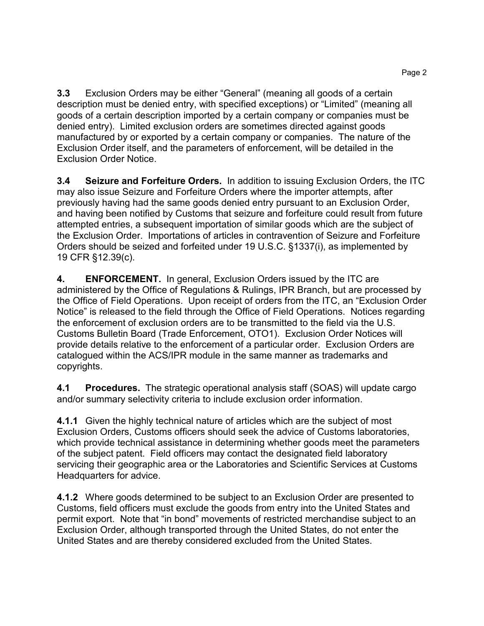**3.3** Exclusion Orders may be either "General" (meaning all goods of a certain description must be denied entry, with specified exceptions) or "Limited" (meaning all goods of a certain description imported by a certain company or companies must be denied entry). Limited exclusion orders are sometimes directed against goods manufactured by or exported by a certain company or companies. The nature of the Exclusion Order itself, and the parameters of enforcement, will be detailed in the Exclusion Order Notice.

**3.4 Seizure and Forfeiture Orders.** In addition to issuing Exclusion Orders, the ITC may also issue Seizure and Forfeiture Orders where the importer attempts, after previously having had the same goods denied entry pursuant to an Exclusion Order, and having been notified by Customs that seizure and forfeiture could result from future attempted entries, a subsequent importation of similar goods which are the subject of the Exclusion Order. Importations of articles in contravention of Seizure and Forfeiture Orders should be seized and forfeited under 19 U.S.C. §1337(i), as implemented by 19 CFR §12.39(c).

**4. ENFORCEMENT.** In general, Exclusion Orders issued by the ITC are administered by the Office of Regulations & Rulings, IPR Branch, but are processed by the Office of Field Operations. Upon receipt of orders from the ITC, an "Exclusion Order Notice" is released to the field through the Office of Field Operations. Notices regarding the enforcement of exclusion orders are to be transmitted to the field via the U.S. Customs Bulletin Board (Trade Enforcement, OTO1). Exclusion Order Notices will provide details relative to the enforcement of a particular order. Exclusion Orders are catalogued within the ACS/IPR module in the same manner as trademarks and copyrights.

**4.1 Procedures.** The strategic operational analysis staff (SOAS) will update cargo and/or summary selectivity criteria to include exclusion order information.

**4.1.1** Given the highly technical nature of articles which are the subject of most Exclusion Orders, Customs officers should seek the advice of Customs laboratories, which provide technical assistance in determining whether goods meet the parameters of the subject patent. Field officers may contact the designated field laboratory servicing their geographic area or the Laboratories and Scientific Services at Customs Headquarters for advice.

**4.1.2** Where goods determined to be subject to an Exclusion Order are presented to Customs, field officers must exclude the goods from entry into the United States and permit export. Note that "in bond" movements of restricted merchandise subject to an Exclusion Order, although transported through the United States, do not enter the United States and are thereby considered excluded from the United States.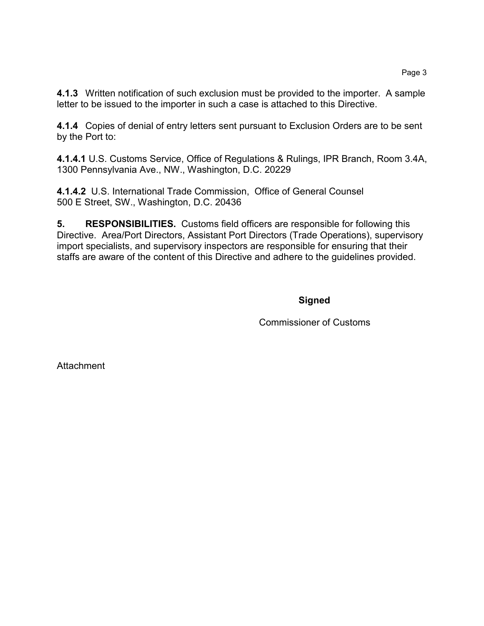**4.1.3** Written notification of such exclusion must be provided to the importer. A sample letter to be issued to the importer in such a case is attached to this Directive.

**4.1.4** Copies of denial of entry letters sent pursuant to Exclusion Orders are to be sent by the Port to:

**4.1.4.1** U.S. Customs Service, Office of Regulations & Rulings, IPR Branch, Room 3.4A, 1300 Pennsylvania Ave., NW., Washington, D.C. 20229

**4.1.4.2** U.S. International Trade Commission, Office of General Counsel 500 E Street, SW., Washington, D.C. 20436

**5. RESPONSIBILITIES.** Customs field officers are responsible for following this Directive. Area/Port Directors, Assistant Port Directors (Trade Operations), supervisory import specialists, and supervisory inspectors are responsible for ensuring that their staffs are aware of the content of this Directive and adhere to the guidelines provided.

**Signed** 

Commissioner of Customs

**Attachment**